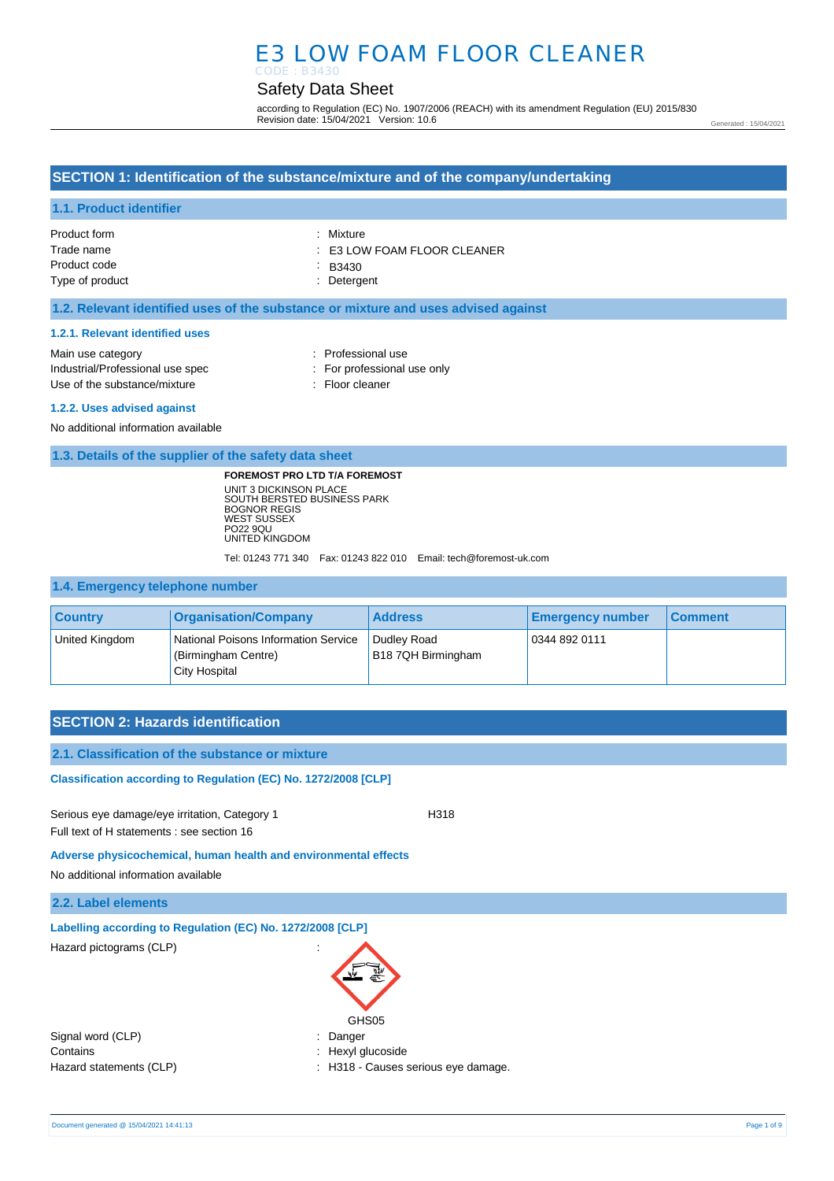# E3 LOW FOAM FLOOR CLEANER CODE : B3430

# Safety Data Sheet

according to Regulation (EC) No. 1907/2006 (REACH) with its amendment Regulation (EU) 2015/830 Revision date: 15/04/2021 Version: 10.6

Generated : 15/04/2021

# **SECTION 1: Identification of the substance/mixture and of the company/undertaking**

## **1.1. Product identifier**

| Product form    | : Mixture                              |
|-----------------|----------------------------------------|
| Trade name      | $\therefore$ E3 LOW FOAM FLOOR CLEANER |
| Product code    | $\therefore$ B3430                     |
| Type of product | : Detergent                            |

## **1.2. Relevant identified uses of the substance or mixture and uses advised against**

#### **1.2.1. Relevant identified uses**

| Main use category                | : Professional use          |
|----------------------------------|-----------------------------|
| Industrial/Professional use spec | : For professional use only |
| Use of the substance/mixture     | : Floor cleaner             |
|                                  |                             |

#### **1.2.2. Uses advised against**

No additional information available

### **1.3. Details of the supplier of the safety data sheet**

**FOREMOST PRO LTD T/A FOREMOST** UNIT 3 DICKINSON PLACE SOUTH BERSTED BUSINESS PARK BOGNOR REGIS WEST SUSSEX PO22 9QU UNITED KINGDOM

Tel: 01243 771 340 Fax: 01243 822 010 Email: tech@foremost-uk.com

## **1.4. Emergency telephone number**

| <b>Country</b> | <b>Organisation/Company</b>                                                  | <b>Address</b>                    | <b>Emergency number</b> | <b>Comment</b> |
|----------------|------------------------------------------------------------------------------|-----------------------------------|-------------------------|----------------|
| United Kingdom | National Poisons Information Service<br>(Birmingham Centre)<br>City Hospital | Dudley Road<br>B18 7QH Birmingham | 0344 892 0111           |                |

## **SECTION 2: Hazards identification**

## **2.1. Classification of the substance or mixture**

**Classification according to Regulation (EC) No. 1272/2008 [CLP]** 

Serious eye damage/eye irritation, Category 1 H318 Full text of H statements : see section 16

#### **Adverse physicochemical, human health and environmental effects**

No additional information available

## **2.2. Label elements**

| Labelling according to Regulation (EC) No. 1272/2008 [CLP] |                                            |
|------------------------------------------------------------|--------------------------------------------|
| Hazard pictograms (CLP)                                    | $\bullet$<br>$\ddot{\phantom{a}}$<br>GHS05 |
| Signal word (CLP)                                          | : Danger                                   |
| Contains                                                   | : Hexyl glucoside                          |
| Hazard statements (CLP)                                    | : H318 - Causes serious eye damage.        |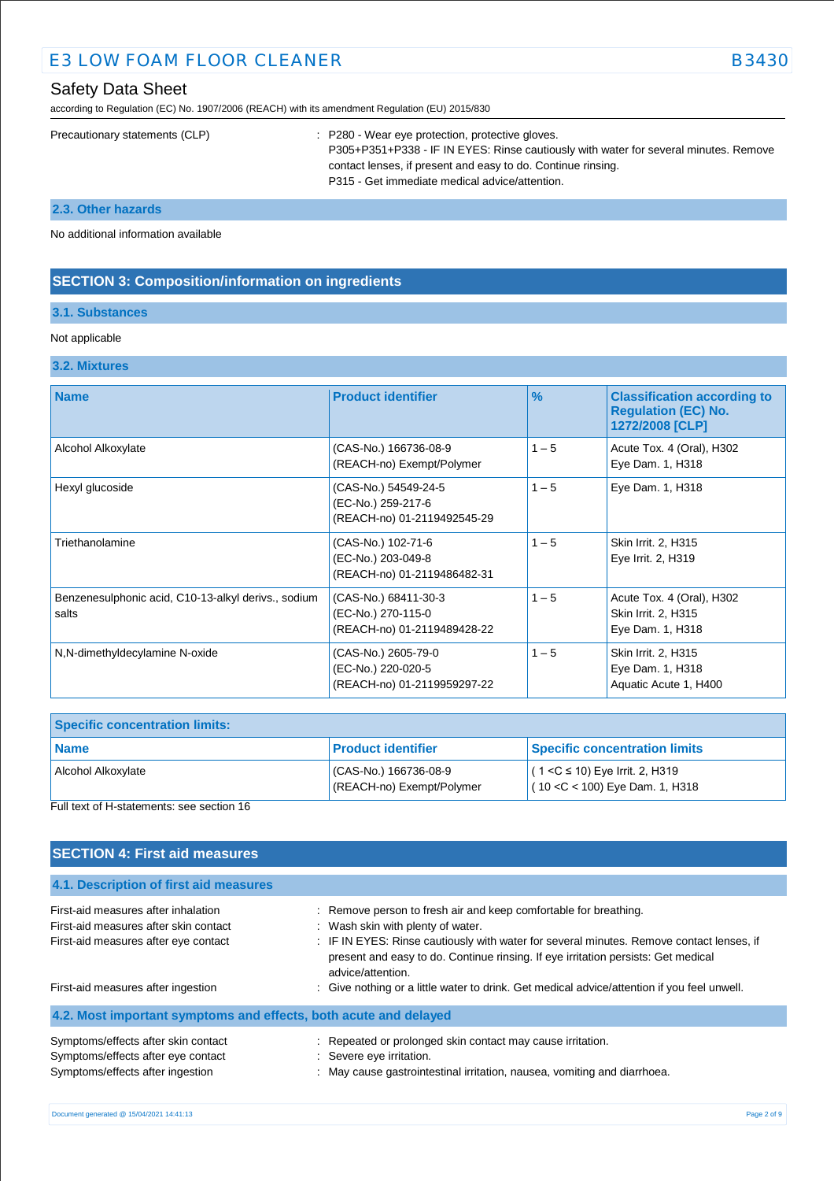| <b>E3 LOW FOAM FLOOR CLEANER</b> | <b>B3430</b> |
|----------------------------------|--------------|
|                                  |              |

according to Regulation (EC) No. 1907/2006 (REACH) with its amendment Regulation (EU) 2015/830

|  | Precautionary statements (CLP) | : P280 - Wear eye protection, protective gloves.<br>P305+P351+P338 - IF IN EYES: Rinse cautiously with water for several minutes. Remove<br>contact lenses, if present and easy to do. Continue rinsing.<br>P315 - Get immediate medical advice/attention. |
|--|--------------------------------|------------------------------------------------------------------------------------------------------------------------------------------------------------------------------------------------------------------------------------------------------------|
|--|--------------------------------|------------------------------------------------------------------------------------------------------------------------------------------------------------------------------------------------------------------------------------------------------------|

**2.3. Other hazards**

No additional information available

# **SECTION 3: Composition/information on ingredients**

# **3.1. Substances**

## Not applicable

## **3.2. Mixtures**

| <b>Name</b>                                                  | <b>Product identifier</b>                                                 | $\%$    | <b>Classification according to</b><br><b>Regulation (EC) No.</b><br>1272/2008 [CLP] |
|--------------------------------------------------------------|---------------------------------------------------------------------------|---------|-------------------------------------------------------------------------------------|
| Alcohol Alkoxylate                                           | (CAS-No.) 166736-08-9<br>(REACH-no) Exempt/Polymer                        | $1 - 5$ | Acute Tox. 4 (Oral), H302<br>Eye Dam. 1, H318                                       |
| Hexyl glucoside                                              | (CAS-No.) 54549-24-5<br>(EC-No.) 259-217-6<br>(REACH-no) 01-2119492545-29 | $1 - 5$ | Eye Dam. 1, H318                                                                    |
| Triethanolamine                                              | (CAS-No.) 102-71-6<br>(EC-No.) 203-049-8<br>(REACH-no) 01-2119486482-31   | $1 - 5$ | Skin Irrit. 2, H315<br>Eye Irrit. 2, H319                                           |
| Benzenesulphonic acid, C10-13-alkyl derivs., sodium<br>salts | (CAS-No.) 68411-30-3<br>(EC-No.) 270-115-0<br>(REACH-no) 01-2119489428-22 | $1 - 5$ | Acute Tox. 4 (Oral), H302<br>Skin Irrit. 2, H315<br>Eye Dam. 1, H318                |
| N,N-dimethyldecylamine N-oxide                               | (CAS-No.) 2605-79-0<br>(EC-No.) 220-020-5<br>(REACH-no) 01-2119959297-22  | $1 - 5$ | Skin Irrit. 2, H315<br>Eye Dam. 1, H318<br>Aquatic Acute 1, H400                    |

| <b>Specific concentration limits:</b> |                                                   |                                                                        |
|---------------------------------------|---------------------------------------------------|------------------------------------------------------------------------|
| <b>Name</b>                           | <b>Product identifier</b>                         | <b>Specific concentration limits</b>                                   |
| Alcohol Alkoxylate                    | CAS-No.) 166736-08-9<br>(REACH-no) Exempt/Polymer | $(1 < C$ ≤ 10) Eye Irrit. 2, H319<br>$(10 < C < 100)$ Eye Dam. 1, H318 |

Full text of H-statements: see section 16

# **SECTION 4: First aid measures**

| 4.1. Description of first aid measures                                                                               |                                                                                                                                                                                                                                                                                                             |
|----------------------------------------------------------------------------------------------------------------------|-------------------------------------------------------------------------------------------------------------------------------------------------------------------------------------------------------------------------------------------------------------------------------------------------------------|
| First-aid measures after inhalation<br>First-aid measures after skin contact<br>First-aid measures after eye contact | : Remove person to fresh air and keep comfortable for breathing.<br>: Wash skin with plenty of water.<br>: IF IN EYES: Rinse cautiously with water for several minutes. Remove contact lenses, if<br>present and easy to do. Continue rinsing. If eye irritation persists: Get medical<br>advice/attention. |
| First-aid measures after ingestion                                                                                   | : Give nothing or a little water to drink. Get medical advice/attention if you feel unwell.                                                                                                                                                                                                                 |
| 4.2. Most important symptoms and effects, both acute and delayed                                                     |                                                                                                                                                                                                                                                                                                             |
| Symptoms/effects after skin contact<br>Symptoms/effects after eye contact<br>Symptoms/effects after ingestion        | : Repeated or prolonged skin contact may cause irritation.<br>: Severe eye irritation.<br>: May cause gastrointestinal irritation, nausea, vomiting and diarrhoea.                                                                                                                                          |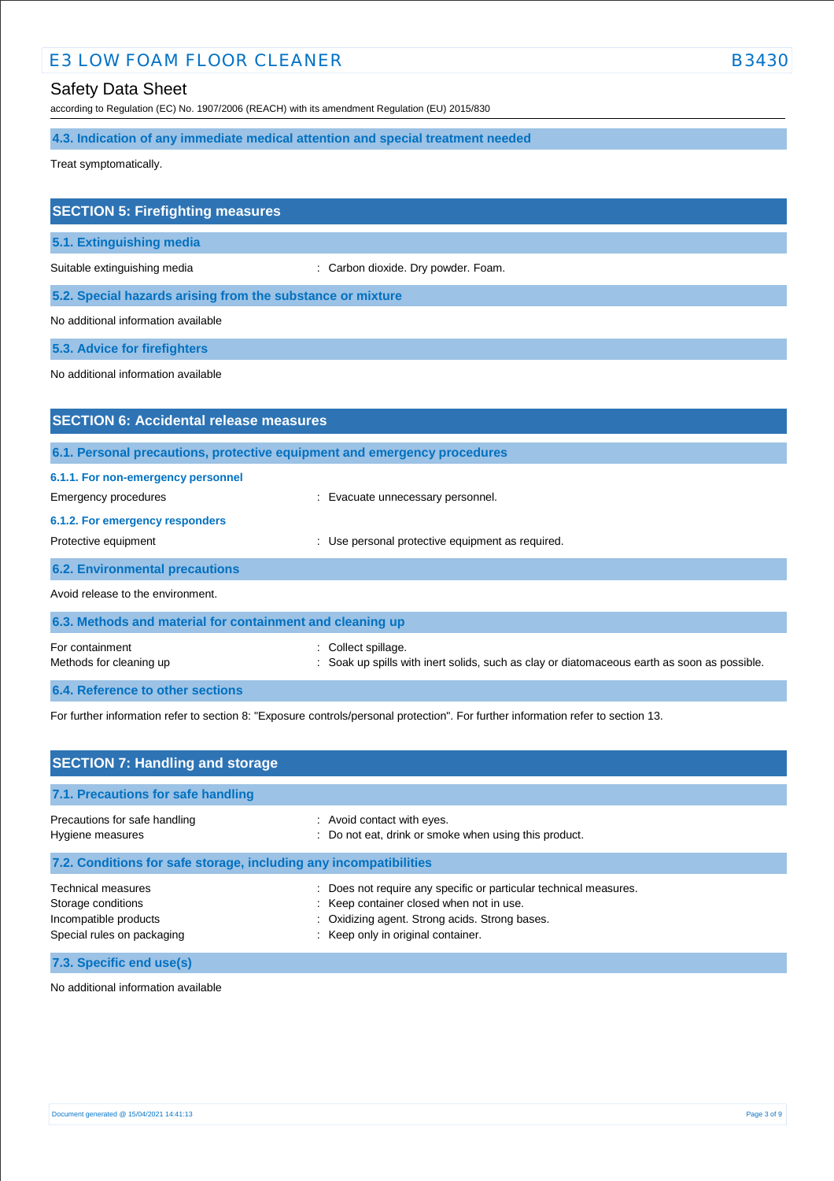# E3 LOW FOAM FLOOR CLEANER B3430

# Safety Data Sheet

according to Regulation (EC) No. 1907/2006 (REACH) with its amendment Regulation (EU) 2015/830

**4.3. Indication of any immediate medical attention and special treatment needed**

Treat symptomatically.

| <b>SECTION 5: Firefighting measures</b>                                  |                                                     |
|--------------------------------------------------------------------------|-----------------------------------------------------|
| 5.1. Extinguishing media                                                 |                                                     |
| Suitable extinguishing media                                             | : Carbon dioxide. Dry powder. Foam.                 |
| 5.2. Special hazards arising from the substance or mixture               |                                                     |
| No additional information available                                      |                                                     |
| 5.3. Advice for firefighters                                             |                                                     |
| No additional information available                                      |                                                     |
|                                                                          |                                                     |
| <b>SECTION 6: Accidental release measures</b>                            |                                                     |
| 6.1. Personal precautions, protective equipment and emergency procedures |                                                     |
| 6.1.1. For non-emergency personnel                                       |                                                     |
| <b>Emergency procedures</b>                                              | Evacuate unnecessary personnel.                     |
| 6.1.2. For emergency responders                                          |                                                     |
| Protective equipment                                                     | Use personal protective equipment as required.<br>÷ |
| <b>6.2. Environmental precautions</b>                                    |                                                     |

Avoid release to the environment.

| 6.3. Methods and material for containment and cleaning up |                                                                                                                    |
|-----------------------------------------------------------|--------------------------------------------------------------------------------------------------------------------|
| For containment<br>Methods for cleaning up                | : Collect spillage.<br>: Soak up spills with inert solids, such as clay or diatomaceous earth as soon as possible. |
| 6.4. Reference to other sections                          |                                                                                                                    |

For further information refer to section 8: "Exposure controls/personal protection". For further information refer to section 13.

| <b>SECTION 7: Handling and storage</b>                                                                 |                                                                                                                                                                                                       |  |
|--------------------------------------------------------------------------------------------------------|-------------------------------------------------------------------------------------------------------------------------------------------------------------------------------------------------------|--|
| 7.1. Precautions for safe handling                                                                     |                                                                                                                                                                                                       |  |
| Precautions for safe handling<br>Hygiene measures                                                      | : Avoid contact with eyes.<br>: Do not eat, drink or smoke when using this product.                                                                                                                   |  |
| 7.2. Conditions for safe storage, including any incompatibilities                                      |                                                                                                                                                                                                       |  |
| <b>Technical measures</b><br>Storage conditions<br>Incompatible products<br>Special rules on packaging | : Does not require any specific or particular technical measures.<br>: Keep container closed when not in use.<br>: Oxidizing agent. Strong acids. Strong bases.<br>: Keep only in original container. |  |
| 7.3. Specific end use(s)                                                                               |                                                                                                                                                                                                       |  |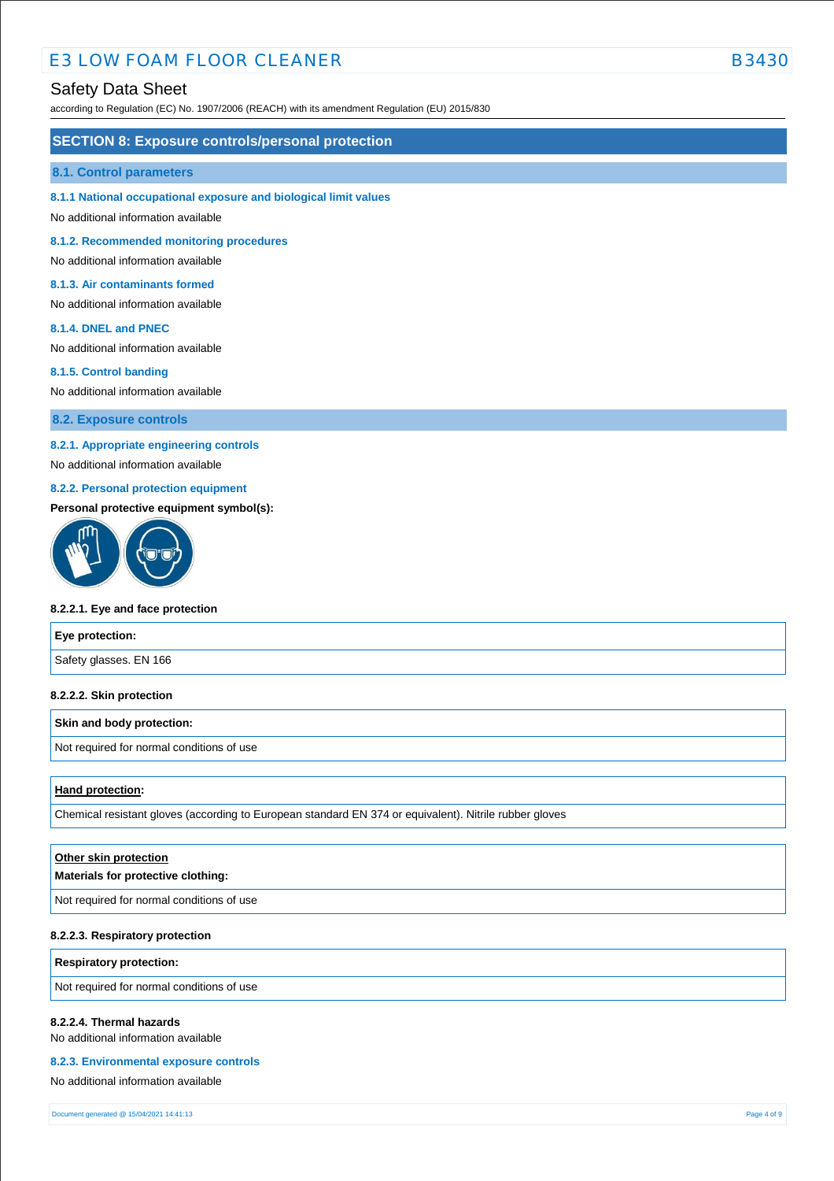# E3 LOW FOAM FLOOR CLEANER B3430

## Safety Data Sheet

according to Regulation (EC) No. 1907/2006 (REACH) with its amendment Regulation (EU) 2015/830

### **SECTION 8: Exposure controls/personal protection**

#### **8.1. Control parameters**

**8.1.1 National occupational exposure and biological limit values**

No additional information available

**8.1.2. Recommended monitoring procedures**

No additional information available

#### **8.1.3. Air contaminants formed**

No additional information available

#### **8.1.4. DNEL and PNEC**

No additional information available

#### **8.1.5. Control banding**

No additional information available

**8.2. Exposure controls**

## **8.2.1. Appropriate engineering controls**

No additional information available

## **8.2.2. Personal protection equipment**

### **Personal protective equipment symbol(s):**



#### **8.2.2.1. Eye and face protection**

| Eye protection:        |  |
|------------------------|--|
| Safety glasses. EN 166 |  |

#### **8.2.2.2. Skin protection**

#### **Skin and body protection:**

Not required for normal conditions of use

### **Hand protection:**

Chemical resistant gloves (according to European standard EN 374 or equivalent). Nitrile rubber gloves

| Other skin protection<br>Materials for protective clothing: |
|-------------------------------------------------------------|
| Not required for normal conditions of use                   |
|                                                             |

#### **8.2.2.3. Respiratory protection**

**Respiratory protection:**

Not required for normal conditions of use

#### **8.2.2.4. Thermal hazards**

No additional information available

#### **8.2.3. Environmental exposure controls**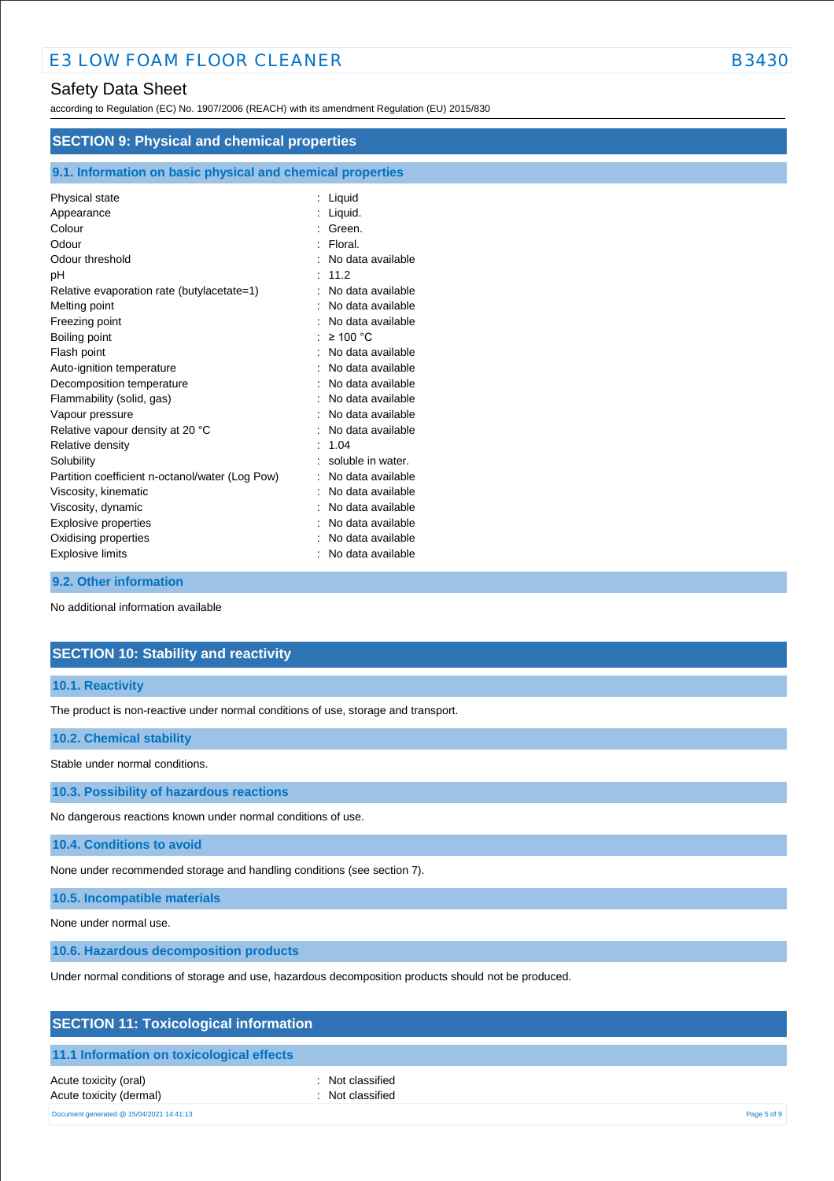according to Regulation (EC) No. 1907/2006 (REACH) with its amendment Regulation (EU) 2015/830

| <b>SECTION 9: Physical and chemical properties</b>         |                   |  |
|------------------------------------------------------------|-------------------|--|
| 9.1. Information on basic physical and chemical properties |                   |  |
| Physical state                                             | : Liquid          |  |
| Appearance                                                 | Liquid.           |  |
| Colour                                                     | Green.            |  |
| Odour                                                      | Floral.           |  |
| Odour threshold                                            | No data available |  |
| рH                                                         | 11.2              |  |
| Relative evaporation rate (butylacetate=1)                 | No data available |  |
| Melting point                                              | No data available |  |
| Freezing point                                             | No data available |  |
| Boiling point                                              | $\geq 100$ °C     |  |
| Flash point                                                | No data available |  |
| Auto-ignition temperature                                  | No data available |  |
| Decomposition temperature                                  | No data available |  |
| Flammability (solid, gas)                                  | No data available |  |
| Vapour pressure                                            | No data available |  |
| Relative vapour density at 20 °C                           | No data available |  |
| Relative density                                           | 1.04              |  |
| Solubility                                                 | soluble in water. |  |
| Partition coefficient n-octanol/water (Log Pow)            | No data available |  |
| Viscosity, kinematic                                       | No data available |  |
| Viscosity, dynamic                                         | No data available |  |
| Explosive properties                                       | No data available |  |
| Oxidising properties                                       | No data available |  |
| <b>Explosive limits</b>                                    | No data available |  |

### **9.2. Other information**

No additional information available

## **SECTION 10: Stability and reactivity**

## **10.1. Reactivity**

The product is non-reactive under normal conditions of use, storage and transport.

## **10.2. Chemical stability**

Stable under normal conditions.

**10.3. Possibility of hazardous reactions**

No dangerous reactions known under normal conditions of use.

**10.4. Conditions to avoid**

None under recommended storage and handling conditions (see section 7).

**10.5. Incompatible materials**

None under normal use.

**10.6. Hazardous decomposition products**

Under normal conditions of storage and use, hazardous decomposition products should not be produced.

| <b>SECTION 11: Toxicological information</b> |  |
|----------------------------------------------|--|
|----------------------------------------------|--|

## **11.1 Information on toxicological effects**

Acute toxicity (oral) **interval** to the control of the control of the control of the control of the control of the control of the control of the control of the control of the control of the control of the control of the co Acute toxicity (dermal) **Example 2** Constant Constant Constant Constant Constant Constant Constant Constant Constant Constant Constant Constant Constant Constant Constant Constant Constant Constant Constant Constant Consta Document generated @ 15/04/2021 14:41:13 Page 5 of 9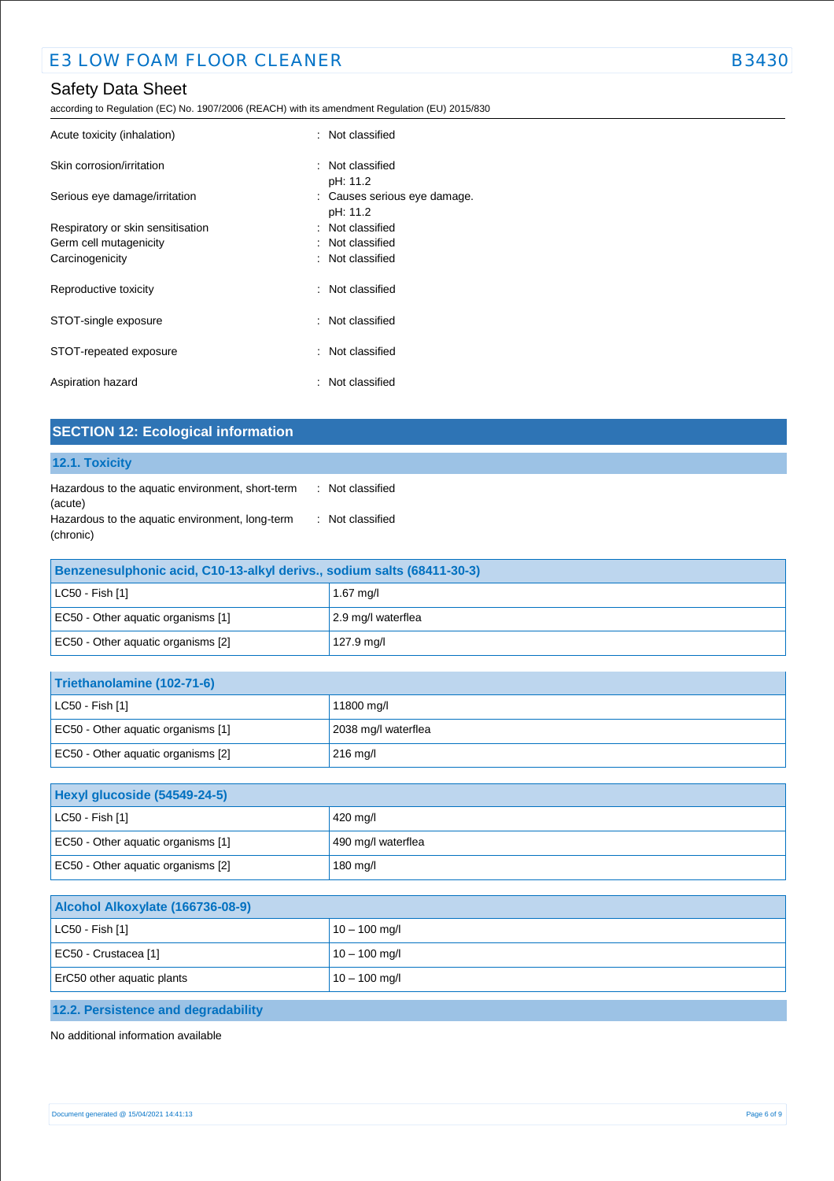according to Regulation (EC) No. 1907/2006 (REACH) with its amendment Regulation (EU) 2015/830

| Acute toxicity (inhalation)       | : Not classified                         |
|-----------------------------------|------------------------------------------|
| Skin corrosion/irritation         | : Not classified<br>pH: 11.2             |
| Serious eye damage/irritation     | : Causes serious eye damage.<br>pH: 11.2 |
| Respiratory or skin sensitisation | : Not classified                         |
| Germ cell mutagenicity            | : Not classified                         |
| Carcinogenicity                   | : Not classified                         |
| Reproductive toxicity             | : Not classified                         |
| STOT-single exposure              | : Not classified                         |
| STOT-repeated exposure            | : Not classified                         |
| Aspiration hazard                 | : Not classified                         |

| STOT-repeated exposure                                                                              | : Not classified |
|-----------------------------------------------------------------------------------------------------|------------------|
| Aspiration hazard                                                                                   | : Not classified |
| <b>SECTION 12: Ecological information</b>                                                           |                  |
| 12.1. Toxicity                                                                                      |                  |
| the conclusion of the consistence discussion and the contraction of the Matter of the discretion of |                  |

| Hazardous to the aquatic environment, short-term | : Not classified |
|--------------------------------------------------|------------------|
| (acute)                                          |                  |
| Hazardous to the aquatic environment, long-term  | : Not classified |
| (chronic)                                        |                  |

| Benzenesulphonic acid, C10-13-alkyl derivs., sodium salts (68411-30-3) |                    |
|------------------------------------------------------------------------|--------------------|
| $ $ LC50 - Fish [1]                                                    | 1.67 mg/l          |
| EC50 - Other aquatic organisms [1]                                     | 2.9 mg/l waterflea |
| EC50 - Other aquatic organisms [2]                                     | 127.9 mg/l         |

| Triethanolamine (102-71-6)         |                     |
|------------------------------------|---------------------|
| $ $ LC50 - Fish [1]                | 11800 mg/l          |
| EC50 - Other aquatic organisms [1] | 2038 mg/l waterflea |
| EC50 - Other aquatic organisms [2] | $216 \text{ mq/l}$  |

| Hexyl glucoside (54549-24-5)       |                    |
|------------------------------------|--------------------|
| $ $ LC50 - Fish [1]                | 420 mg/l           |
| EC50 - Other aquatic organisms [1] | 490 mg/l waterflea |
| EC50 - Other aquatic organisms [2] | 180 mg/l           |

| Alcohol Alkoxylate (166736-08-9) |                 |
|----------------------------------|-----------------|
| $ $ LC50 - Fish [1]              | $10 - 100$ mg/l |
| EC50 - Crustacea [1]             | $10 - 100$ mg/l |
| ErC50 other aquatic plants       | $10 - 100$ mg/l |
|                                  |                 |

# **12.2. Persistence and degradability**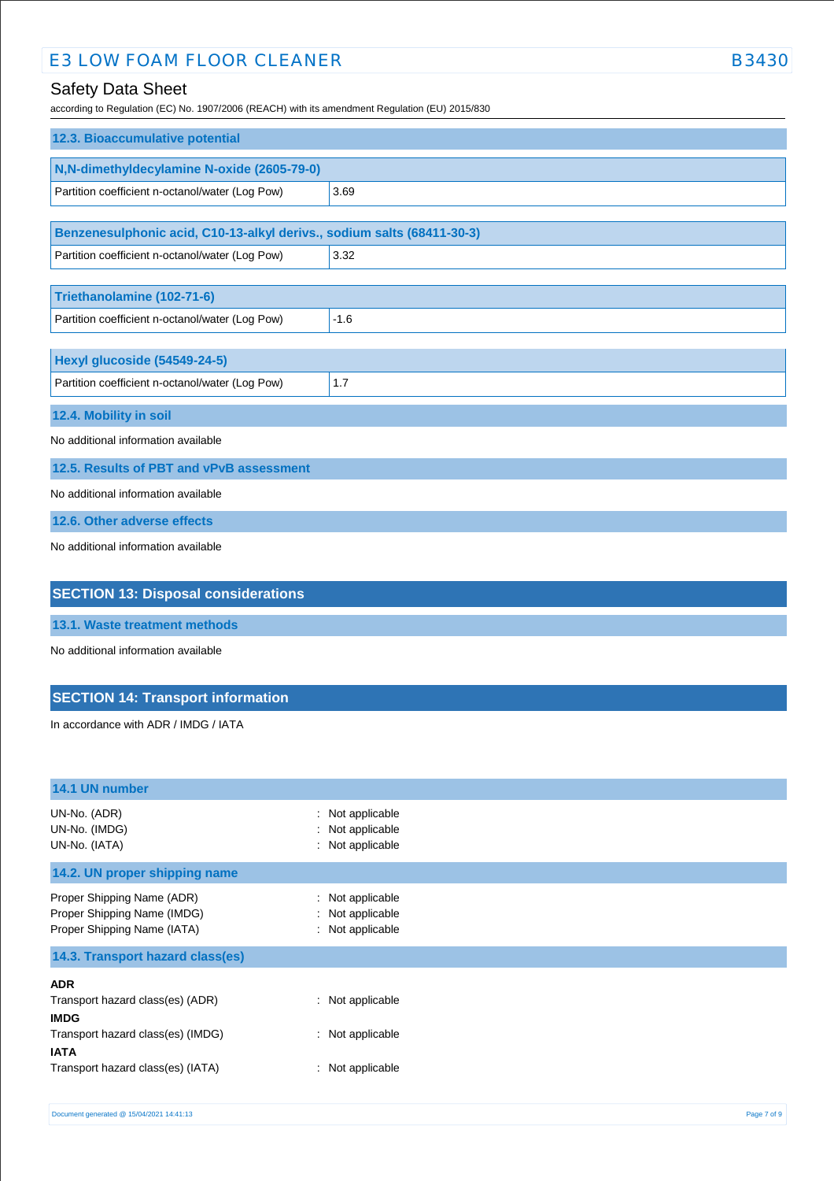# E3 LOW FOAM FLOOR CLEANER B3430

# Safety Data Sheet

according to Regulation (EC) No. 1907/2006 (REACH) with its amendment Regulation (EU) 2015/830

| 12.3. Bioaccumulative potential                                                                                                                                                                                                      |        |  |
|--------------------------------------------------------------------------------------------------------------------------------------------------------------------------------------------------------------------------------------|--------|--|
| N,N-dimethyldecylamine N-oxide (2605-79-0)                                                                                                                                                                                           |        |  |
| Partition coefficient n-octanol/water (Log Pow)                                                                                                                                                                                      | 3.69   |  |
|                                                                                                                                                                                                                                      |        |  |
| Benzenesulphonic acid, C10-13-alkyl derivs., sodium salts (68411-30-3)                                                                                                                                                               |        |  |
| Partition coefficient n-octanol/water (Log Pow)                                                                                                                                                                                      | 3.32   |  |
|                                                                                                                                                                                                                                      |        |  |
| Triethanolamine (102-71-6)                                                                                                                                                                                                           |        |  |
| Partition coefficient n-octanol/water (Log Pow)                                                                                                                                                                                      | $-1.6$ |  |
|                                                                                                                                                                                                                                      |        |  |
| Hexyl glucoside (54549-24-5)                                                                                                                                                                                                         |        |  |
| Partition coefficient n-octanol/water (Log Pow)                                                                                                                                                                                      | 1.7    |  |
| 12.4. Mobility in soil                                                                                                                                                                                                               |        |  |
| No additional information available                                                                                                                                                                                                  |        |  |
| 12.5. Results of PBT and vPvB assessment                                                                                                                                                                                             |        |  |
| No additional information available                                                                                                                                                                                                  |        |  |
| 12.6. Other adverse effects                                                                                                                                                                                                          |        |  |
| No additional information available                                                                                                                                                                                                  |        |  |
| <b>OF OTION 10. Blue cash associated the contract of the State of The Contract Contract of the Contract Of the Contract Of the Contract Of the Contract Of the Contract Of the Contract Of the Contract Of the Contract Of the C</b> |        |  |

## **SECTION 13: Disposal considerations**

**13.1. Waste treatment methods**

No additional information available

## **SECTION 14: Transport information**

In accordance with ADR / IMDG / IATA

| 14.1 UN number                                                                                                                                         |                                                            |
|--------------------------------------------------------------------------------------------------------------------------------------------------------|------------------------------------------------------------|
| UN-No. (ADR)<br>UN-No. (IMDG)<br>UN-No. (IATA)                                                                                                         | : Not applicable<br>: Not applicable<br>: Not applicable   |
| 14.2. UN proper shipping name                                                                                                                          |                                                            |
| Proper Shipping Name (ADR)<br>Proper Shipping Name (IMDG)<br>Proper Shipping Name (IATA)                                                               | : Not applicable<br>: Not applicable<br>: Not applicable   |
| 14.3. Transport hazard class(es)                                                                                                                       |                                                            |
| <b>ADR</b><br>Transport hazard class(es) (ADR)<br><b>IMDG</b><br>Transport hazard class(es) (IMDG)<br><b>IATA</b><br>Transport hazard class(es) (IATA) | : Not applicable<br>: Not applicable<br>$:$ Not applicable |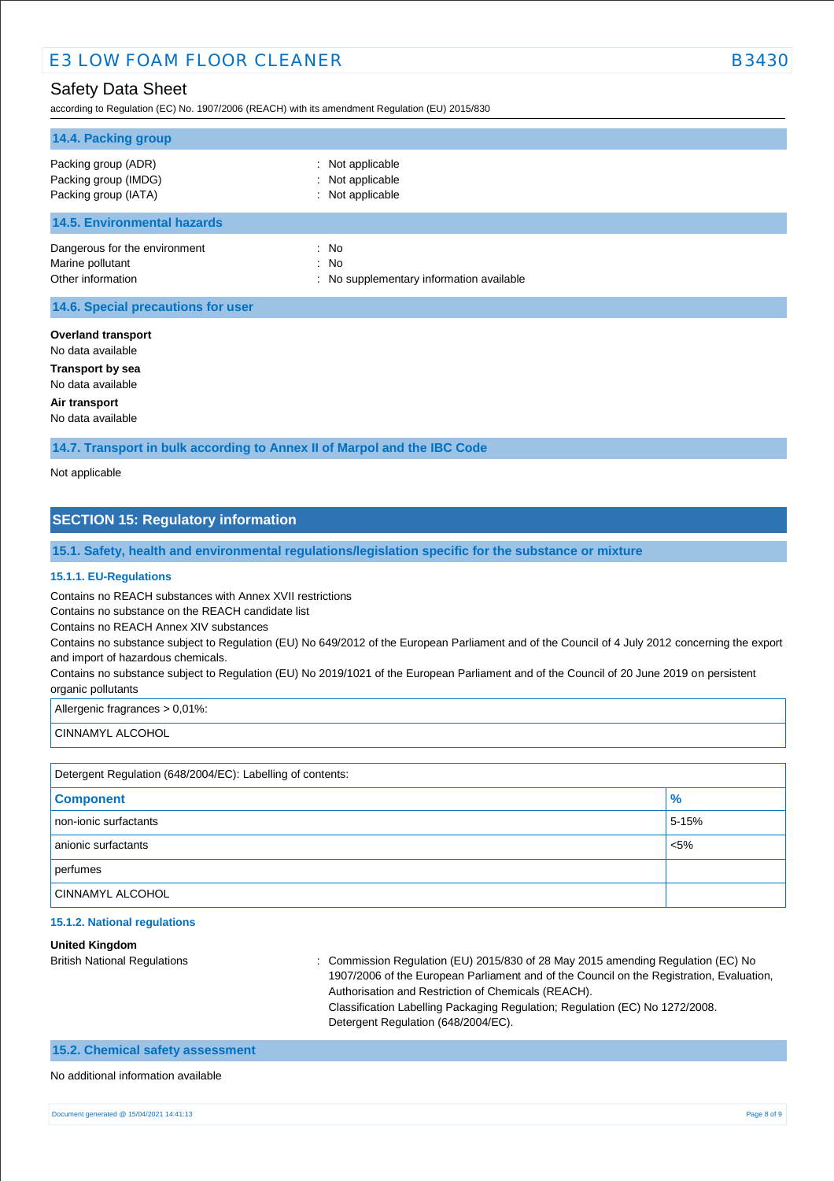according to Regulation (EC) No. 1907/2006 (REACH) with its amendment Regulation (EU) 2015/830

| 14.4. Packing group                                                    |                                                            |  |
|------------------------------------------------------------------------|------------------------------------------------------------|--|
| Packing group (ADR)<br>Packing group (IMDG)<br>Packing group (IATA)    | : Not applicable<br>: Not applicable<br>: Not applicable   |  |
| <b>14.5. Environmental hazards</b>                                     |                                                            |  |
| Dangerous for the environment<br>Marine pollutant<br>Other information | $:$ No<br>: No<br>: No supplementary information available |  |
| 14.6. Special precautions for user                                     |                                                            |  |
| <b>Overland transport</b><br>No data available                         |                                                            |  |

**Transport by sea**

No data available

**Air transport**

No data available

**14.7. Transport in bulk according to Annex II of Marpol and the IBC Code**

Not applicable

## **SECTION 15: Regulatory information**

**15.1. Safety, health and environmental regulations/legislation specific for the substance or mixture**

### **15.1.1. EU-Regulations**

Contains no REACH substances with Annex XVII restrictions

Contains no substance on the REACH candidate list

Contains no REACH Annex XIV substances

Contains no substance subject to Regulation (EU) No 649/2012 of the European Parliament and of the Council of 4 July 2012 concerning the export and import of hazardous chemicals.

Contains no substance subject to Regulation (EU) No 2019/1021 of the European Parliament and of the Council of 20 June 2019 on persistent organic pollutants

Allergenic fragrances > 0,01%:

CINNAMYL ALCOHOL

| Detergent Regulation (648/2004/EC): Labelling of contents: |         |  |
|------------------------------------------------------------|---------|--|
| <b>Component</b>                                           | $\%$    |  |
| non-ionic surfactants                                      | 5-15%   |  |
| anionic surfactants                                        | $< 5\%$ |  |
| perfumes                                                   |         |  |
| <b>CINNAMYL ALCOHOL</b>                                    |         |  |

### **15.1.2. National regulations**

#### **United Kingdom**

British National Regulations : Commission Regulation (EU) 2015/830 of 28 May 2015 amending Regulation (EC) No 1907/2006 of the European Parliament and of the Council on the Registration, Evaluation, Authorisation and Restriction of Chemicals (REACH). Classification Labelling Packaging Regulation; Regulation (EC) No 1272/2008. Detergent Regulation (648/2004/EC).

## **15.2. Chemical safety assessment**